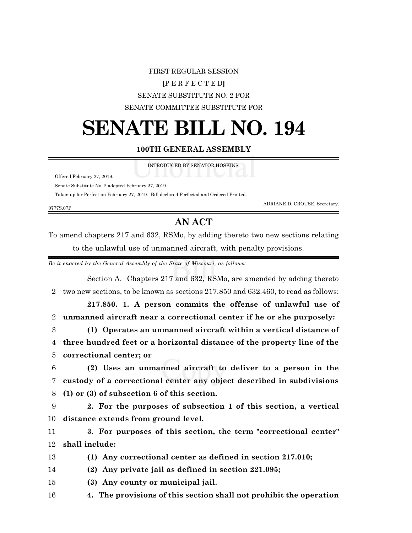## FIRST REGULAR SESSION **[**P E R F E C T E D**]** SENATE SUBSTITUTE NO. 2 FOR SENATE COMMITTEE SUBSTITUTE FOR

## **SENATE BILL NO. 194**

## **100TH GENERAL ASSEMBLY**

INTRODUCED BY SENATOR HOSKINS.

Offered February 27, 2019.

Senate Substitute No. 2 adopted February 27, 2019.

Taken up for Perfection February 27, 2019. Bill declared Perfected and Ordered Printed.

0777S.07P

ADRIANE D. CROUSE, Secretary.

## **AN ACT**

To amend chapters 217 and 632, RSMo, by adding thereto two new sections relating to the unlawful use of unmanned aircraft, with penalty provisions.

*Be it enacted by the General Assembly of the State of Missouri, as follows:*

Section A. Chapters 217 and 632, RSMo, are amended by adding thereto two new sections, to be known as sections 217.850 and 632.460, to read as follows: **217.850. 1. A person commits the offense of unlawful use of unmanned aircraft near a correctional center if he or she purposely: (1) Operates an unmanned aircraft within a vertical distance of three hundred feet or a horizontal distance of the property line of the correctional center; or (2) Uses an unmanned aircraft to deliver to a person in the custody of a correctional center any object described in subdivisions (1) or (3) of subsection 6 of this section. 2. For the purposes of subsection 1 of this section, a vertical distance extends from ground level. 3. For purposes of this section, the term "correctional center" shall include: (1) Any correctional center as defined in section 217.010; (2) Any private jail as defined in section 221.095; (3) Any county or municipal jail. 4. The provisions of this section shall not prohibit the operation**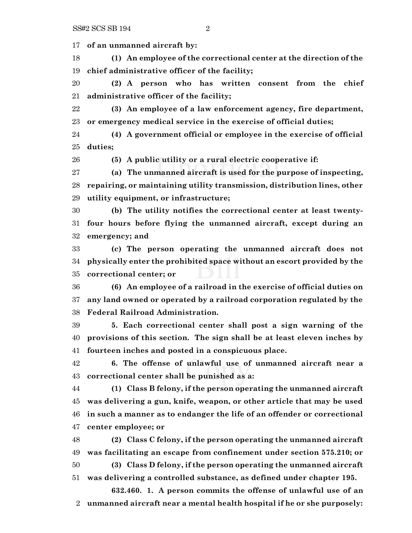**of an unmanned aircraft by:**

 **(1) An employee of the correctional center at the direction of the chief administrative officer of the facility;**

 **(2) A person who has written consent from the chief administrative officer of the facility;**

 **(3) An employee of a law enforcement agency, fire department, or emergency medical service in the exercise of official duties;**

 **(4) A government official or employee in the exercise of official duties;**

**(5) A public utility or a rural electric cooperative if:**

 **(a) The unmanned aircraft is used for the purpose of inspecting, repairing, or maintaining utility transmission, distribution lines, other utility equipment, or infrastructure;**

 **(b) The utility notifies the correctional center at least twenty- four hours before flying the unmanned aircraft, except during an emergency; and**

 **(c) The person operating the unmanned aircraft does not physically enter the prohibited space without an escort provided by the correctional center; or**

 **(6) An employee of a railroad in the exercise of official duties on any land owned or operated by a railroad corporation regulated by the Federal Railroad Administration.**

 **5. Each correctional center shall post a sign warning of the provisions of this section. The sign shall be at least eleven inches by fourteen inches and posted in a conspicuous place.**

 **6. The offense of unlawful use of unmanned aircraft near a correctional center shall be punished as a:**

 **(1) Class B felony, if the person operating the unmanned aircraft was delivering a gun, knife, weapon, or other article that may be used in such a manner as to endanger the life of an offender or correctional center employee; or**

 **(2) Class C felony, if the person operating the unmanned aircraft was facilitating an escape from confinement under section 575.210; or (3) Class D felony, if the person operating the unmanned aircraft**

**was delivering a controlled substance, as defined under chapter 195.**

**632.460. 1. A person commits the offense of unlawful use of an unmanned aircraft near a mental health hospital if he or she purposely:**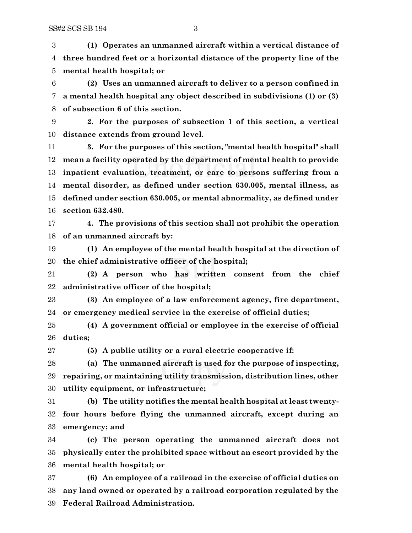**(1) Operates an unmanned aircraft within a vertical distance of three hundred feet or a horizontal distance of the property line of the mental health hospital; or**

 **(2) Uses an unmanned aircraft to deliver to a person confined in a mental health hospital any object described in subdivisions (1) or (3) of subsection 6 of this section.**

 **2. For the purposes of subsection 1 of this section, a vertical distance extends from ground level.**

 **3. For the purposes of this section, "mental health hospital" shall mean a facility operated by the department of mental health to provide inpatient evaluation, treatment, or care to persons suffering from a mental disorder, as defined under section 630.005, mental illness, as defined under section 630.005, or mental abnormality, as defined under section 632.480.**

 **4. The provisions of this section shall not prohibit the operation of an unmanned aircraft by:**

 **(1) An employee of the mental health hospital at the direction of the chief administrative officer of the hospital;**

 **(2) A person who has written consent from the chief administrative officer of the hospital;**

 **(3) An employee of a law enforcement agency, fire department, or emergency medical service in the exercise of official duties;**

 **(4) A government official or employee in the exercise of official duties;**

**(5) A public utility or a rural electric cooperative if:**

 **(a) The unmanned aircraft is used for the purpose of inspecting, repairing, or maintaining utility transmission, distribution lines, other utility equipment, or infrastructure;**

 **(b) The utility notifies the mental health hospital at least twenty- four hours before flying the unmanned aircraft, except during an emergency; and**

 **(c) The person operating the unmanned aircraft does not physically enter the prohibited space without an escort provided by the mental health hospital; or**

 **(6) An employee of a railroad in the exercise of official duties on any land owned or operated by a railroad corporation regulated by the Federal Railroad Administration.**